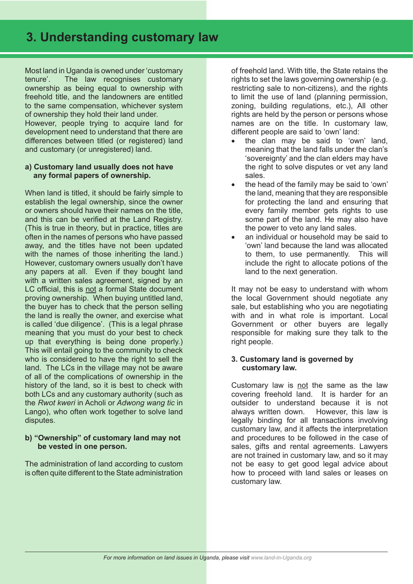Most land in Uganda is owned under 'customary tenure'. The law recognises customary ownership as being equal to ownership with freehold title, and the landowners are entitled to the same compensation, whichever system of ownership they hold their land under. However, people trying to acquire land for development need to understand that there are differences between titled (or registered) land and customary (or unregistered) land.

### **a) Customary land usually does not have any formal papers of ownership.**

When land is titled, it should be fairly simple to establish the legal ownership, since the owner or owners should have their names on the title, and this can be verified at the Land Registry. (This is true in theory, but in practice, titles are often in the names of persons who have passed away, and the titles have not been updated with the names of those inheriting the land.) However, customary owners usually don't have any papers at all. Even if they bought land with a written sales agreement, signed by an LC official, this is not a formal State document proving ownership. When buying untitled land, the buyer has to check that the person selling the land is really the owner, and exercise what is called 'due diligence'. (This is a legal phrase meaning that you must do your best to check up that everything is being done properly.) This will entail going to the community to check who is considered to have the right to sell the land. The LCs in the village may not be aware of all of the complications of ownership in the history of the land, so it is best to check with both LCs and any customary authority (such as the *Rwot kweri* in Acholi or *Adwong wang tic* in Lango), who often work together to solve land disputes.

### **b) "Ownership" of customary land may not be vested in one person.**

The administration of land according to custom is often quite different to the State administration of freehold land. With title, the State retains the rights to set the laws governing ownership (e.g. restricting sale to non-citizens), and the rights to limit the use of land (planning permission, zoning, building regulations, etc.), All other rights are held by the person or persons whose names are on the title. In customary law, different people are said to 'own' land:

- the clan may be said to 'own' land, meaning that the land falls under the clan's 'sovereignty' and the clan elders may have the right to solve disputes or vet any land sales.
- the head of the family may be said to 'own' the land, meaning that they are responsible for protecting the land and ensuring that every family member gets rights to use some part of the land. He may also have the power to veto any land sales.
- an individual or household may be said to 'own' land because the land was allocated to them, to use permanently. This will include the right to allocate potions of the land to the next generation.

It may not be easy to understand with whom the local Government should negotiate any sale, but establishing who you are negotiating with and in what role is important. Local Government or other buyers are legally responsible for making sure they talk to the right people.

## **3. Customary land is governed by customary law.**

Customary law is not the same as the law covering freehold land. It is harder for an outsider to understand because it is not always written down. However, this law is legally binding for all transactions involving customary law, and it affects the interpretation and procedures to be followed in the case of sales, gifts and rental agreements. Lawyers are not trained in customary law, and so it may not be easy to get good legal advice about how to proceed with land sales or leases on customary law.